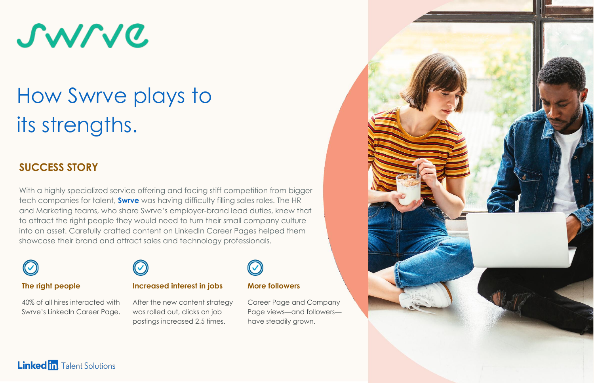

# How Swrve plays to its strengths.

### **SUCCESS STORY**

With a highly specialized service offering and facing stiff competition from bigger tech companies for talent, **[Swrve](https://www.linkedin.com/company/swrve/)** was having difficulty filling sales roles. The HR and Marketing teams, who share Swrve's employer-brand lead duties, knew that to attract the right people they would need to turn their small company culture into an asset. Carefully crafted content on LinkedIn Career Pages helped them showcase their brand and attract sales and technology professionals.



#### **The right people**

40% of all hires interacted with Swrve's LinkedIn Career Page.



#### **Increased interest in jobs**

After the new content strategy was rolled out, clicks on job postings increased 2.5 times.



#### **More followers**

Career Page and Company Page views—and followers have steadily grown.



#### **Linked in** Talent Solutions